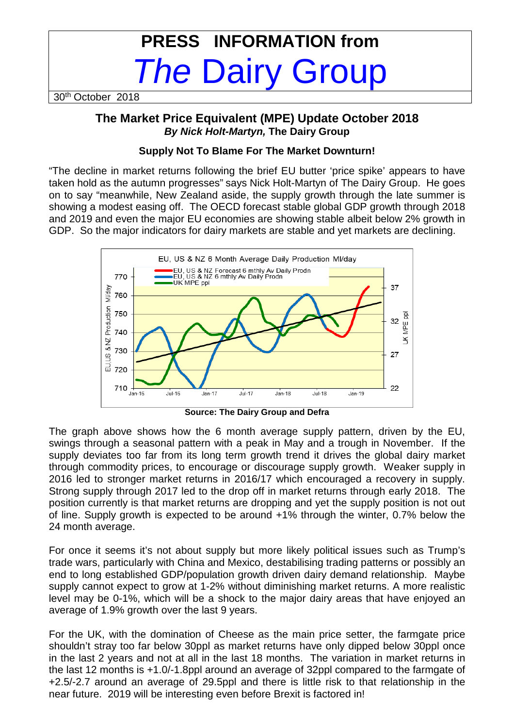# **PRESS INFORMATION from**  The Dairy Group

30th October 2018

# **The Market Price Equivalent (MPE) Update October 2018 By Nick Holt-Martyn, The Dairy Group**

### **Supply Not To Blame For The Market Downturn!**

"The decline in market returns following the brief EU butter 'price spike' appears to have taken hold as the autumn progresses" says Nick Holt-Martyn of The Dairy Group. He goes on to say "meanwhile, New Zealand aside, the supply growth through the late summer is showing a modest easing off. The OECD forecast stable global GDP growth through 2018 and 2019 and even the major EU economies are showing stable albeit below 2% growth in GDP. So the major indicators for dairy markets are stable and yet markets are declining.



**Source: The Dairy Group and Defra** 

The graph above shows how the 6 month average supply pattern, driven by the EU, swings through a seasonal pattern with a peak in May and a trough in November. If the supply deviates too far from its long term growth trend it drives the global dairy market through commodity prices, to encourage or discourage supply growth. Weaker supply in 2016 led to stronger market returns in 2016/17 which encouraged a recovery in supply. Strong supply through 2017 led to the drop off in market returns through early 2018. The position currently is that market returns are dropping and yet the supply position is not out of line. Supply growth is expected to be around +1% through the winter, 0.7% below the 24 month average.

For once it seems it's not about supply but more likely political issues such as Trump's trade wars, particularly with China and Mexico, destabilising trading patterns or possibly an end to long established GDP/population growth driven dairy demand relationship. Maybe supply cannot expect to grow at 1-2% without diminishing market returns. A more realistic level may be 0-1%, which will be a shock to the major dairy areas that have enjoyed an average of 1.9% growth over the last 9 years.

For the UK, with the domination of Cheese as the main price setter, the farmgate price shouldn't stray too far below 30ppl as market returns have only dipped below 30ppl once in the last 2 years and not at all in the last 18 months. The variation in market returns in the last 12 months is +1.0/-1.8ppl around an average of 32ppl compared to the farmgate of +2.5/-2.7 around an average of 29.5ppl and there is little risk to that relationship in the near future. 2019 will be interesting even before Brexit is factored in!